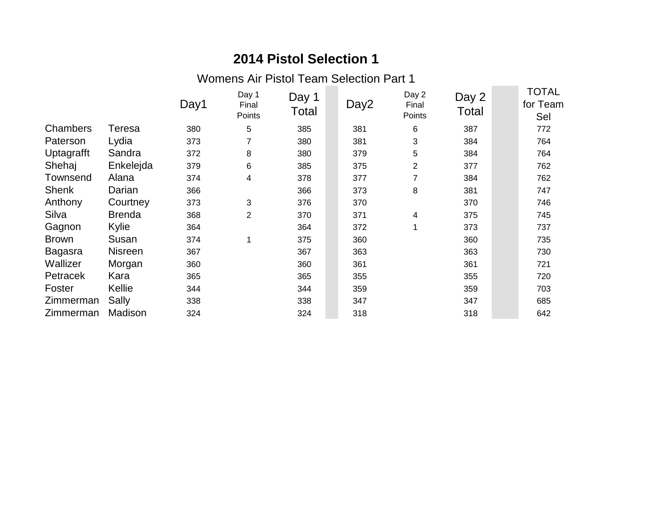Womens Air Pistol Team Selection Part 1

|              |                | Day1 | Day 1<br>Final<br>Points | Day 1<br>Total | Day <sub>2</sub> | Day 2<br>Final<br>Points | Day 2<br>Total | TOTAL<br>for Team<br>Sel |
|--------------|----------------|------|--------------------------|----------------|------------------|--------------------------|----------------|--------------------------|
| Chambers     | <b>Teresa</b>  | 380  | 5                        | 385            | 381              | 6                        | 387            | 772                      |
| Paterson     | Lydia          | 373  | 7                        | 380            | 381              | 3                        | 384            | 764                      |
| Uptagrafft   | Sandra         | 372  | 8                        | 380            | 379              | 5                        | 384            | 764                      |
| Shehaj       | Enkelejda      | 379  | 6                        | 385            | 375              | $\overline{2}$           | 377            | 762                      |
| Townsend     | Alana          | 374  | $\overline{\mathbf{4}}$  | 378            | 377              | 7                        | 384            | 762                      |
| <b>Shenk</b> | Darian         | 366  |                          | 366            | 373              | 8                        | 381            | 747                      |
| Anthony      | Courtney       | 373  | 3                        | 376            | 370              |                          | 370            | 746                      |
| Silva        | <b>Brenda</b>  | 368  | $\overline{2}$           | 370            | 371              | 4                        | 375            | 745                      |
| Gagnon       | Kylie          | 364  |                          | 364            | 372              | 1                        | 373            | 737                      |
| <b>Brown</b> | Susan          | 374  | 1                        | 375            | 360              |                          | 360            | 735                      |
| Bagasra      | <b>Nisreen</b> | 367  |                          | 367            | 363              |                          | 363            | 730                      |
| Wallizer     | Morgan         | 360  |                          | 360            | 361              |                          | 361            | 721                      |
| Petracek     | Kara           | 365  |                          | 365            | 355              |                          | 355            | 720                      |
| Foster       | Kellie         | 344  |                          | 344            | 359              |                          | 359            | 703                      |
| Zimmerman    | Sally          | 338  |                          | 338            | 347              |                          | 347            | 685                      |
| Zimmerman    | Madison        | 324  |                          | 324            | 318              |                          | 318            | 642                      |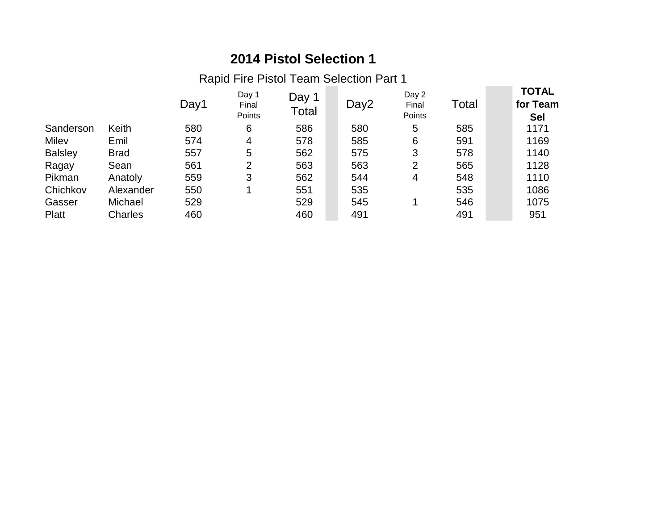Rapid Fire Pistol Team Selection Part 1

|                |             | Day1 | Day 1<br>Final<br>Points | Day 1<br>Total | Day2 | Day 2<br>Final<br>Points | Total | <b>TOTAL</b><br>for Team<br><b>Sel</b> |
|----------------|-------------|------|--------------------------|----------------|------|--------------------------|-------|----------------------------------------|
| Sanderson      | Keith       | 580  | 6                        | 586            | 580  | 5                        | 585   | 1171                                   |
| Milev          | Emil        | 574  | 4                        | 578            | 585  | 6                        | 591   | 1169                                   |
| <b>Balsley</b> | <b>Brad</b> | 557  | 5                        | 562            | 575  | 3                        | 578   | 1140                                   |
| Ragay          | Sean        | 561  | 2                        | 563            | 563  | 2                        | 565   | 1128                                   |
| Pikman         | Anatoly     | 559  | 3                        | 562            | 544  | 4                        | 548   | 1110                                   |
| Chichkov       | Alexander   | 550  |                          | 551            | 535  |                          | 535   | 1086                                   |
| Gasser         | Michael     | 529  |                          | 529            | 545  |                          | 546   | 1075                                   |
| Platt          | Charles     | 460  |                          | 460            | 491  |                          | 491   | 951                                    |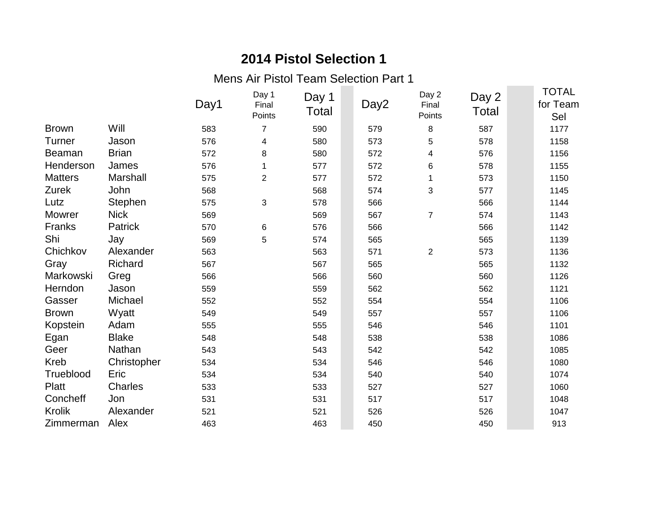Mens Air Pistol Team Selection Part 1

|                |                | Day1 | Day 1<br>Final<br>Points | Day 1<br>Total | Day <sub>2</sub> | Day 2<br>Final<br>Points | Day 2<br>Total | <b>TOTAL</b><br>for Team<br>Sel |
|----------------|----------------|------|--------------------------|----------------|------------------|--------------------------|----------------|---------------------------------|
| <b>Brown</b>   | Will           | 583  | $\overline{7}$           | 590            | 579              | 8                        | 587            | 1177                            |
| Turner         | Jason          | 576  | 4                        | 580            | 573              | 5                        | 578            | 1158                            |
| <b>Beaman</b>  | <b>Brian</b>   | 572  | 8                        | 580            | 572              | 4                        | 576            | 1156                            |
| Henderson      | James          | 576  | 1                        | 577            | 572              | 6                        | 578            | 1155                            |
| <b>Matters</b> | Marshall       | 575  | $\overline{2}$           | 577            | 572              | 1                        | 573            | 1150                            |
| Zurek          | John           | 568  |                          | 568            | 574              | 3                        | 577            | 1145                            |
| Lutz           | Stephen        | 575  | 3                        | 578            | 566              |                          | 566            | 1144                            |
| <b>Mowrer</b>  | <b>Nick</b>    | 569  |                          | 569            | 567              | $\overline{7}$           | 574            | 1143                            |
| Franks         | <b>Patrick</b> | 570  | 6                        | 576            | 566              |                          | 566            | 1142                            |
| Shi            | Jay            | 569  | 5                        | 574            | 565              |                          | 565            | 1139                            |
| Chichkov       | Alexander      | 563  |                          | 563            | 571              | $\overline{2}$           | 573            | 1136                            |
| Gray           | Richard        | 567  |                          | 567            | 565              |                          | 565            | 1132                            |
| Markowski      | Greg           | 566  |                          | 566            | 560              |                          | 560            | 1126                            |
| Herndon        | Jason          | 559  |                          | 559            | 562              |                          | 562            | 1121                            |
| Gasser         | Michael        | 552  |                          | 552            | 554              |                          | 554            | 1106                            |
| <b>Brown</b>   | Wyatt          | 549  |                          | 549            | 557              |                          | 557            | 1106                            |
| Kopstein       | Adam           | 555  |                          | 555            | 546              |                          | 546            | 1101                            |
| Egan           | <b>Blake</b>   | 548  |                          | 548            | 538              |                          | 538            | 1086                            |
| Geer           | Nathan         | 543  |                          | 543            | 542              |                          | 542            | 1085                            |
| Kreb           | Christopher    | 534  |                          | 534            | 546              |                          | 546            | 1080                            |
| Trueblood      | Eric           | 534  |                          | 534            | 540              |                          | 540            | 1074                            |
| Platt          | Charles        | 533  |                          | 533            | 527              |                          | 527            | 1060                            |
| Concheff       | Jon            | 531  |                          | 531            | 517              |                          | 517            | 1048                            |
| Krolik         | Alexander      | 521  |                          | 521            | 526              |                          | 526            | 1047                            |
| Zimmerman      | Alex           | 463  |                          | 463            | 450              |                          | 450            | 913                             |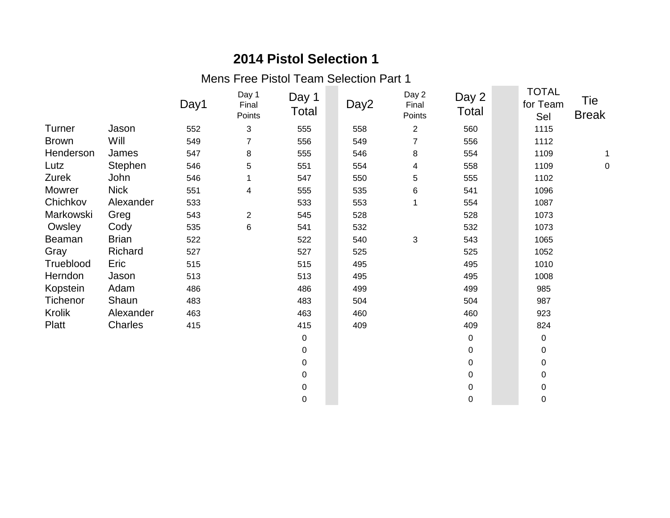Mens Free Pistol Team Selection Part 1

|              |              | Day1 | Day 1<br>Final<br>Points | Day 1<br>Total   | Day2 | Day 2<br>Final<br>Points | Day 2<br>Total | <b>TOTAL</b><br>for Team<br>Sel | Tie<br><b>Break</b> |
|--------------|--------------|------|--------------------------|------------------|------|--------------------------|----------------|---------------------------------|---------------------|
| Turner       | Jason        | 552  | 3                        | 555              | 558  | $\overline{2}$           | 560            | 1115                            |                     |
| <b>Brown</b> | Will         | 549  | 7                        | 556              | 549  | $\overline{7}$           | 556            | 1112                            |                     |
| Henderson    | James        | 547  | $\bf 8$                  | 555              | 546  | 8                        | 554            | 1109                            |                     |
| Lutz         | Stephen      | 546  | 5                        | 551              | 554  | 4                        | 558            | 1109                            | $\mathbf 0$         |
| Zurek        | John         | 546  |                          | 547              | 550  | 5                        | 555            | 1102                            |                     |
| Mowrer       | <b>Nick</b>  | 551  | 4                        | 555              | 535  | 6                        | 541            | 1096                            |                     |
| Chichkov     | Alexander    | 533  |                          | 533              | 553  |                          | 554            | 1087                            |                     |
| Markowski    | Greg         | 543  | $\overline{2}$           | 545              | 528  |                          | 528            | 1073                            |                     |
| Owsley       | Cody         | 535  | 6                        | 541              | 532  |                          | 532            | 1073                            |                     |
| Beaman       | <b>Brian</b> | 522  |                          | 522              | 540  | 3                        | 543            | 1065                            |                     |
| Gray         | Richard      | 527  |                          | 527              | 525  |                          | 525            | 1052                            |                     |
| Trueblood    | Eric         | 515  |                          | 515              | 495  |                          | 495            | 1010                            |                     |
| Herndon      | Jason        | 513  |                          | 513              | 495  |                          | 495            | 1008                            |                     |
| Kopstein     | Adam         | 486  |                          | 486              | 499  |                          | 499            | 985                             |                     |
| Tichenor     | Shaun        | 483  |                          | 483              | 504  |                          | 504            | 987                             |                     |
| Krolik       | Alexander    | 463  |                          | 463              | 460  |                          | 460            | 923                             |                     |
| Platt        | Charles      | 415  |                          | 415              | 409  |                          | 409            | 824                             |                     |
|              |              |      |                          | $\pmb{0}$        |      |                          | 0              | 0                               |                     |
|              |              |      |                          | 0                |      |                          | $\mathbf 0$    | 0                               |                     |
|              |              |      |                          | 0                |      |                          | 0              | 0                               |                     |
|              |              |      |                          | 0                |      |                          | 0              | 0                               |                     |
|              |              |      |                          | $\pmb{0}$        |      |                          | $\pmb{0}$      | $\mathsf 0$                     |                     |
|              |              |      |                          | $\boldsymbol{0}$ |      |                          | $\pmb{0}$      | 0                               |                     |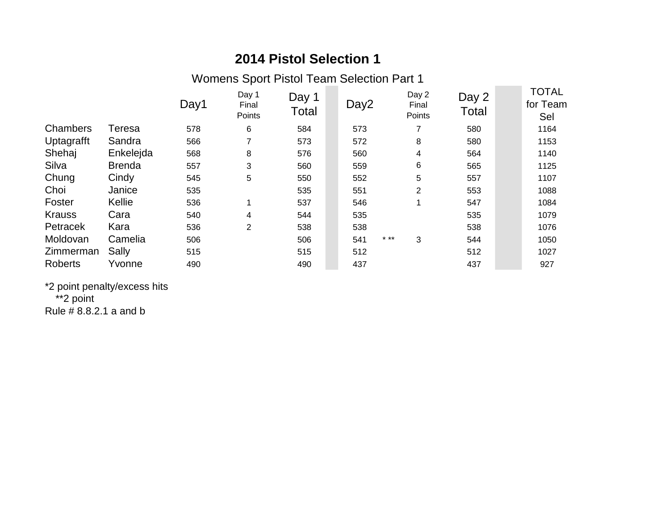Womens Sport Pistol Team Selection Part 1

|                |               | Day1 | Day 1<br>Final<br>Points | Day 1<br><b>Total</b> | Day <sub>2</sub> | Day 2<br>Final<br>Points | Day 2<br>Total | <b>TOTAL</b><br>for Team<br>Sel |
|----------------|---------------|------|--------------------------|-----------------------|------------------|--------------------------|----------------|---------------------------------|
| Chambers       | Teresa        | 578  | 6                        | 584                   | 573              |                          | 580            | 1164                            |
| Uptagrafft     | Sandra        | 566  | $\overline{\phantom{a}}$ | 573                   | 572              | 8                        | 580            | 1153                            |
| Shehaj         | Enkelejda     | 568  | 8                        | 576                   | 560              | 4                        | 564            | 1140                            |
| Silva          | <b>Brenda</b> | 557  | 3                        | 560                   | 559              | 6                        | 565            | 1125                            |
| Chung          | Cindy         | 545  | 5                        | 550                   | 552              | 5                        | 557            | 1107                            |
| Choi           | Janice        | 535  |                          | 535                   | 551              | $\overline{2}$           | 553            | 1088                            |
| Foster         | Kellie        | 536  |                          | 537                   | 546              | 1                        | 547            | 1084                            |
| <b>Krauss</b>  | Cara          | 540  | 4                        | 544                   | 535              |                          | 535            | 1079                            |
| Petracek       | Kara          | 536  | 2                        | 538                   | 538              |                          | 538            | 1076                            |
| Moldovan       | Camelia       | 506  |                          | 506                   | 541              | $* * *$<br>3             | 544            | 1050                            |
| Zimmerman      | Sally         | 515  |                          | 515                   | 512              |                          | 512            | 1027                            |
| <b>Roberts</b> | Yvonne        | 490  |                          | 490                   | 437              |                          | 437            | 927                             |

\*2 point penalty/excess hits \*\*2 point Rule # 8.8.2.1 a and b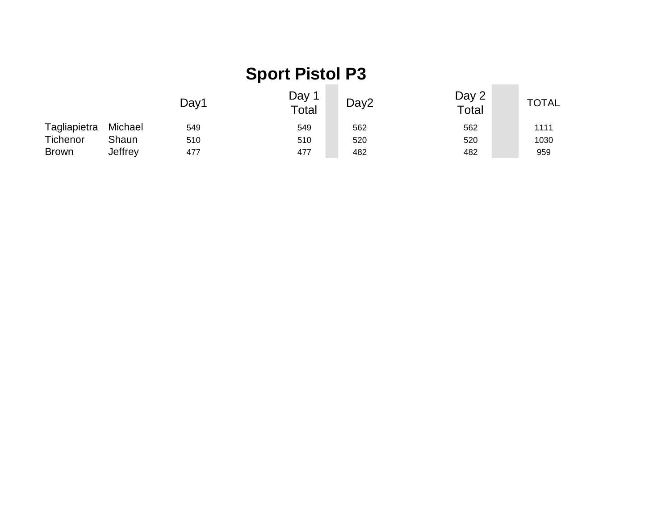#### Day1 Day 1<br>Total Day2 Day 2 Day 2 TOTAL Tagliapietra Michael 549 549 562 562 1111 Tichenor Shaun 510 510 510 520 520 520 520 520 Brown Jeffrey 477 477 477 482 482 482 959 **Sport Pistol P3**